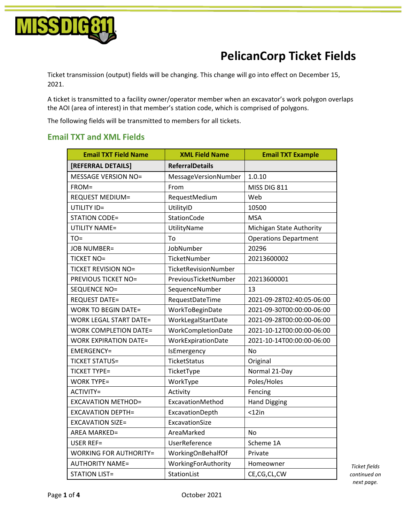

## **PelicanCorp Ticket Fields**

Ticket transmission (output) fields will be changing. This change will go into effect on December 15, 2021.

A ticket is transmitted to a facility owner/operator member when an excavator's work polygon overlaps the AOI (area of interest) in that member's station code, which is comprised of polygons.

The following fields will be transmitted to members for all tickets.

## **Email TXT and XML Fields**

| <b>Email TXT Field Name</b>   | <b>XML Field Name</b>  | <b>Email TXT Example</b>     |
|-------------------------------|------------------------|------------------------------|
| [REFERRAL DETAILS]            | <b>ReferralDetails</b> |                              |
| <b>MESSAGE VERSION NO=</b>    | MessageVersionNumber   | 1.0.10                       |
| FROM=                         | From                   | MISS DIG 811                 |
| <b>REQUEST MEDIUM=</b>        | RequestMedium          | Web                          |
| UTILITY ID=                   | UtilityID              | 10500                        |
| <b>STATION CODE=</b>          | StationCode            | <b>MSA</b>                   |
| <b>UTILITY NAME=</b>          | UtilityName            | Michigan State Authority     |
| $TO=$                         | To                     | <b>Operations Department</b> |
| <b>JOB NUMBER=</b>            | JobNumber              | 20296                        |
| <b>TICKET NO=</b>             | TicketNumber           | 20213600002                  |
| <b>TICKET REVISION NO=</b>    | TicketRevisionNumber   |                              |
| <b>PREVIOUS TICKET NO=</b>    | PreviousTicketNumber   | 20213600001                  |
| SEQUENCE NO=                  | SequenceNumber         | 13                           |
| <b>REQUEST DATE=</b>          | RequestDateTime        | 2021-09-28T02:40:05-06:00    |
| <b>WORK TO BEGIN DATE=</b>    | WorkToBeginDate        | 2021-09-30T00:00:00-06:00    |
| <b>WORK LEGAL START DATE=</b> | WorkLegalStartDate     | 2021-09-28T00:00:00-06:00    |
| <b>WORK COMPLETION DATE=</b>  | WorkCompletionDate     | 2021-10-12T00:00:00-06:00    |
| <b>WORK EXPIRATION DATE=</b>  | WorkExpirationDate     | 2021-10-14T00:00:00-06:00    |
| <b>EMERGENCY=</b>             | IsEmergency            | <b>No</b>                    |
| <b>TICKET STATUS=</b>         | TicketStatus           | Original                     |
| <b>TICKET TYPE=</b>           | TicketType             | Normal 21-Day                |
| <b>WORK TYPE=</b>             | WorkType               | Poles/Holes                  |
| ACTIVITY=                     | Activity               | Fencing                      |
| <b>EXCAVATION METHOD=</b>     | ExcavationMethod       | <b>Hand Digging</b>          |
| <b>EXCAVATION DEPTH=</b>      | ExcavationDepth        | $<$ 12in                     |
| <b>EXCAVATION SIZE=</b>       | ExcavationSize         |                              |
| <b>AREA MARKED=</b>           | AreaMarked             | No                           |
| <b>USER REF=</b>              | UserReference          | Scheme 1A                    |
| <b>WORKING FOR AUTHORITY=</b> | WorkingOnBehalfOf      | Private                      |
| <b>AUTHORITY NAME=</b>        | WorkingForAuthority    | Homeowner                    |
| <b>STATION LIST=</b>          | StationList            | CE,CG,CL,CW                  |

*Ticket fields continued on next page.*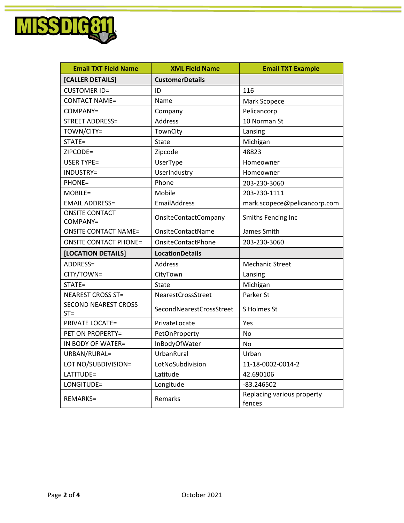

| <b>Email TXT Field Name</b>           | <b>XML Field Name</b>     | <b>Email TXT Example</b>             |
|---------------------------------------|---------------------------|--------------------------------------|
| [CALLER DETAILS]                      | <b>CustomerDetails</b>    |                                      |
| <b>CUSTOMER ID=</b>                   | ID                        | 116                                  |
| <b>CONTACT NAME=</b>                  | Name                      | Mark Scopece                         |
| COMPANY=                              | Company                   | Pelicancorp                          |
| <b>STREET ADDRESS=</b>                | <b>Address</b>            | 10 Norman St                         |
| TOWN/CITY=                            | TownCity                  | Lansing                              |
| STATE=                                | <b>State</b>              | Michigan                             |
| ZIPCODE=                              | Zipcode                   | 48823                                |
| <b>USER TYPE=</b>                     | UserType                  | Homeowner                            |
| INDUSTRY=                             | UserIndustry              | Homeowner                            |
| PHONE=                                | Phone                     | 203-230-3060                         |
| MOBILE=                               | Mobile                    | 203-230-1111                         |
| <b>EMAIL ADDRESS=</b>                 | EmailAddress              | mark.scopece@pelicancorp.com         |
| <b>ONSITE CONTACT</b><br>COMPANY=     | OnsiteContactCompany      | Smiths Fencing Inc                   |
| <b>ONSITE CONTACT NAME=</b>           | OnsiteContactName         | James Smith                          |
| <b>ONSITE CONTACT PHONE=</b>          | <b>OnsiteContactPhone</b> | 203-230-3060                         |
| [LOCATION DETAILS]                    | <b>LocationDetails</b>    |                                      |
| ADDRESS=                              | Address                   | <b>Mechanic Street</b>               |
| CITY/TOWN=                            | CityTown                  | Lansing                              |
| STATE=                                | <b>State</b>              | Michigan                             |
| <b>NEAREST CROSS ST=</b>              | NearestCrossStreet        | Parker St                            |
| <b>SECOND NEAREST CROSS</b><br>$ST =$ | SecondNearestCrossStreet  | S Holmes St                          |
| <b>PRIVATE LOCATE=</b>                | PrivateLocate             | Yes                                  |
| PET ON PROPERTY=                      | PetOnProperty             | No                                   |
| IN BODY OF WATER=                     | InBodyOfWater             | No                                   |
| URBAN/RURAL=                          | UrbanRural                | Urban                                |
| LOT NO/SUBDIVISION=                   | LotNoSubdivision          | 11-18-0002-0014-2                    |
| LATITUDE=                             | Latitude                  | 42.690106                            |
| LONGITUDE=                            | Longitude                 | $-83.246502$                         |
| REMARKS=                              | Remarks                   | Replacing various property<br>fences |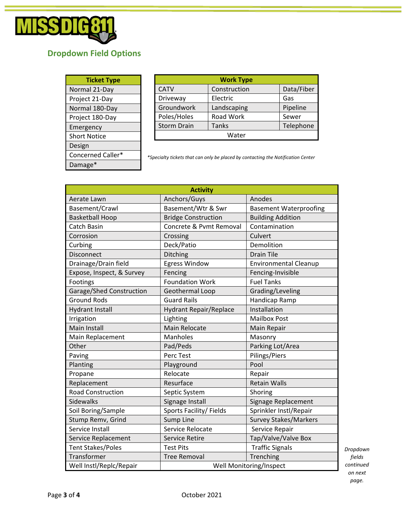

## **Dropdown Field Options**

| <b>Ticket Type</b>  |  |
|---------------------|--|
| Normal 21-Day       |  |
| Project 21-Day      |  |
| Normal 180-Day      |  |
| Project 180-Day     |  |
| Emergency           |  |
| <b>Short Notice</b> |  |
| Design              |  |
| Concerned Caller*   |  |
| Damage*             |  |

| <b>Work Type</b>   |              |            |
|--------------------|--------------|------------|
| <b>CATV</b>        | Construction | Data/Fiber |
| Driveway           | Electric     | Gas        |
| Groundwork         | Landscaping  | Pipeline   |
| Poles/Holes        | Road Work    | Sewer      |
| <b>Storm Drain</b> | Tanks        | Telephone  |
| Water              |              |            |

*\*Specialty tickets that can only be placed by contacting the Notification Center*

|                           | <b>Activity</b>               |                               |  |
|---------------------------|-------------------------------|-------------------------------|--|
| Aerate Lawn               | Anchors/Guys                  | Anodes                        |  |
| Basement/Crawl            | Basement/Wtr & Swr            | <b>Basement Waterproofing</b> |  |
| <b>Basketball Hoop</b>    | <b>Bridge Construction</b>    | <b>Building Addition</b>      |  |
| Catch Basin               | Concrete & Pvmt Removal       | Contamination                 |  |
| Corrosion                 | Crossing                      | Culvert                       |  |
| Curbing                   | Deck/Patio                    | Demolition                    |  |
| Disconnect                | Ditching                      | <b>Drain Tile</b>             |  |
| Drainage/Drain field      | Egress Window                 | <b>Environmental Cleanup</b>  |  |
| Expose, Inspect, & Survey | Fencing                       | Fencing-Invisible             |  |
| Footings                  | <b>Foundation Work</b>        | <b>Fuel Tanks</b>             |  |
| Garage/Shed Construction  | Geothermal Loop               | Grading/Leveling              |  |
| <b>Ground Rods</b>        | <b>Guard Rails</b>            | Handicap Ramp                 |  |
| <b>Hydrant Install</b>    | <b>Hydrant Repair/Replace</b> | Installation                  |  |
| Irrigation                | Lighting                      | <b>Mailbox Post</b>           |  |
| <b>Main Install</b>       | <b>Main Relocate</b>          | Main Repair                   |  |
| Main Replacement          | Manholes                      | Masonry                       |  |
| Other                     | Pad/Peds                      | Parking Lot/Area              |  |
| Paving                    | Perc Test                     | Pilings/Piers                 |  |
| Planting                  | Playground                    | Pool                          |  |
| Propane                   | Relocate                      | Repair                        |  |
| Replacement               | Resurface                     | <b>Retain Walls</b>           |  |
| <b>Road Construction</b>  | Septic System                 | Shoring                       |  |
| <b>Sidewalks</b>          | Signage Install               | Signage Replacement           |  |
| Soil Boring/Sample        | Sports Facility/ Fields       | Sprinkler Instl/Repair        |  |
| Stump Remv, Grind         | <b>Sump Line</b>              | <b>Survey Stakes/Markers</b>  |  |
| Service Install           | Service Relocate              | Service Repair                |  |
| Service Replacement       | <b>Service Retire</b>         | Tap/Valve/Valve Box           |  |
| <b>Tent Stakes/Poles</b>  | <b>Test Pits</b>              | <b>Traffic Signals</b>        |  |
| Transformer               | <b>Tree Removal</b>           | Trenching                     |  |
| Well Instl/Replc/Repair   | Well Monitoring/Inspect       |                               |  |

*Dropdown fields continued on next page.*